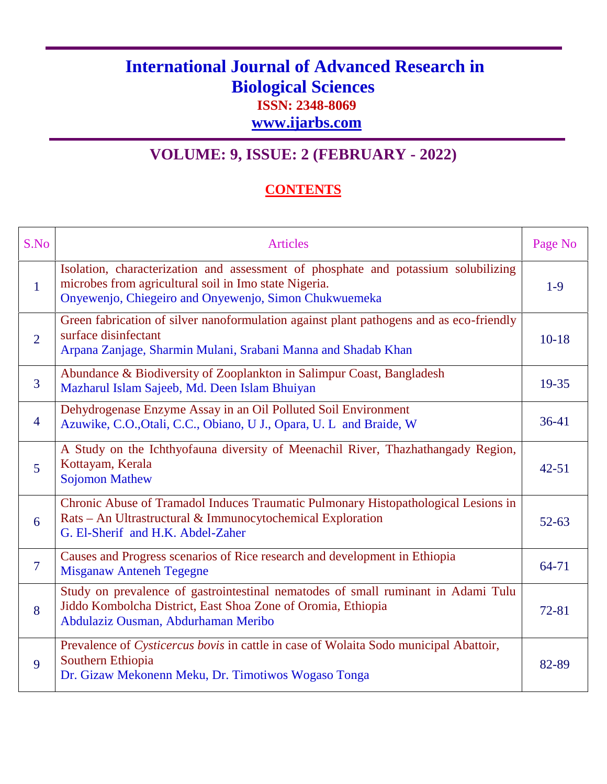## **International Journal of Advanced Research in Biological Sciences ISSN: 2348-8069**

**www.ijarbs.com**

## **VOLUME: 9, ISSUE: 2 (FEBRUARY - 2022)**

## **CONTENTS**

| S.No           | <b>Articles</b>                                                                                                                                                                                      | Page No   |
|----------------|------------------------------------------------------------------------------------------------------------------------------------------------------------------------------------------------------|-----------|
| $\mathbf{1}$   | Isolation, characterization and assessment of phosphate and potassium solubilizing<br>microbes from agricultural soil in Imo state Nigeria.<br>Onyewenjo, Chiegeiro and Onyewenjo, Simon Chukwuemeka | $1-9$     |
| $\overline{2}$ | Green fabrication of silver nanoformulation against plant pathogens and as eco-friendly<br>surface disinfectant<br>Arpana Zanjage, Sharmin Mulani, Srabani Manna and Shadab Khan                     | $10-18$   |
| $\overline{3}$ | Abundance & Biodiversity of Zooplankton in Salimpur Coast, Bangladesh<br>Mazharul Islam Sajeeb, Md. Deen Islam Bhuiyan                                                                               | 19-35     |
| $\overline{4}$ | Dehydrogenase Enzyme Assay in an Oil Polluted Soil Environment<br>Azuwike, C.O., Otali, C.C., Obiano, U J., Opara, U. L and Braide, W                                                                | $36-41$   |
| $\overline{5}$ | A Study on the Ichthyofauna diversity of Meenachil River, Thazhathangady Region,<br>Kottayam, Kerala<br><b>Sojomon Mathew</b>                                                                        | $42 - 51$ |
| 6              | Chronic Abuse of Tramadol Induces Traumatic Pulmonary Histopathological Lesions in<br>Rats – An Ultrastructural & Immunocytochemical Exploration<br>G. El-Sherif and H.K. Abdel-Zaher                | $52 - 63$ |
| $\overline{7}$ | Causes and Progress scenarios of Rice research and development in Ethiopia<br><b>Misganaw Anteneh Tegegne</b>                                                                                        | 64-71     |
| 8              | Study on prevalence of gastrointestinal nematodes of small ruminant in Adami Tulu<br>Jiddo Kombolcha District, East Shoa Zone of Oromia, Ethiopia<br>Abdulaziz Ousman, Abdurhaman Meribo             | 72-81     |
| 9              | Prevalence of Cysticercus bovis in cattle in case of Wolaita Sodo municipal Abattoir,<br>Southern Ethiopia<br>Dr. Gizaw Mekonenn Meku, Dr. Timotiwos Wogaso Tonga                                    | 82-89     |